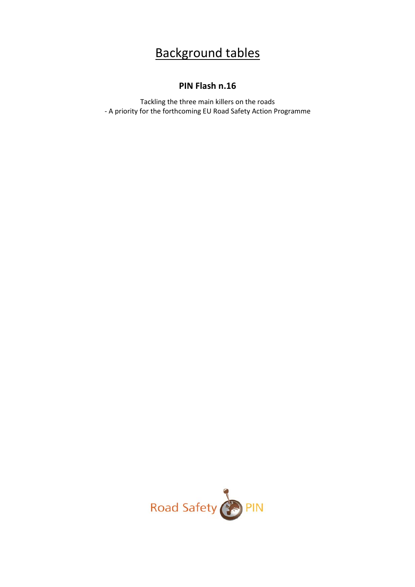## Background tables

## **PIN Flash n.16**

Tackling the three main killers on the roads ‐ A priority for the forthcoming EU Road Safety Action Programme

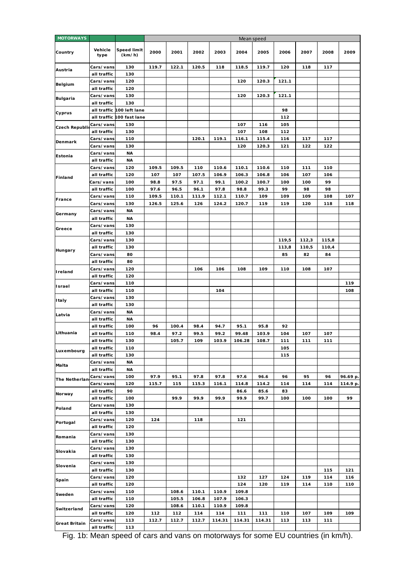| <b>MOTORWAYS</b>     |                          |                              | Mean speed |       |       |        |               |               |           |             |             |          |
|----------------------|--------------------------|------------------------------|------------|-------|-------|--------|---------------|---------------|-----------|-------------|-------------|----------|
| Country              | Vehicle<br>type          | <b>Speed limit</b><br>(km/h) | 2000       | 2001  | 2002  | 2003   | 2004          | 2005          | 2006      | 2007        | 2008        | 2009     |
| Austria              | Cars/vans                | 130                          | 119.7      | 122.1 | 120.5 | 118    | 118.5         | 119.7         | 120       | 118         | 117         |          |
|                      | all traffic              | 130                          |            |       |       |        |               |               |           |             |             |          |
| <b>Belgium</b>       | Cars/vans<br>all traffic | 120<br>120                   |            |       |       |        | 120           | 120.3         | 121.1     |             |             |          |
|                      | Cars/vans                | 130                          |            |       |       |        | 120           | 120.3         | 121.1     |             |             |          |
| <b>Bulgaria</b>      | all traffic              | 130                          |            |       |       |        |               |               |           |             |             |          |
|                      |                          | all traffic 100 left lane    |            |       |       |        |               |               | 98        |             |             |          |
| Cyprus               |                          | all traffic 100 fast lane    |            |       |       |        |               |               | 112       |             |             |          |
|                      | Cars/vans                | 130                          |            |       |       |        | 107           | 116           | 105       |             |             |          |
| <b>Czech Republi</b> | all traffic              | 130                          |            |       |       |        | 107           | 108           | 112       |             |             |          |
|                      | Cars/vans                | 110                          |            |       | 120.1 | 119.1  | 116.1         | 115.4         | 116       | 117         | 117         |          |
| Denmark              | Cars/vans                | 130                          |            |       |       |        | 120           | 120.3         | 121       | 122         | 122         |          |
| Estonia              | Cars/vans                | ΝA                           |            |       |       |        |               |               |           |             |             |          |
|                      | all traffic              | ΝA                           |            |       |       |        |               |               |           |             |             |          |
|                      | Cars/vans                | 120                          | 109.5      | 109.5 | 110   | 110.6  | 110.1         | 110.6         | 110       | 111         | 110         |          |
| Finland              | all traffic              | 120                          | 107        | 107   | 107.5 | 106.9  | 106.3         | 106.8         | 106       | 107         | 106         |          |
|                      | Cars/vans                | 100                          | 98.8       | 97.5  | 97.1  | 99.1   | 100.2         | 100.7         | 100       | 100         | 99          |          |
|                      | all traffic              | 100                          | 97.6       | 96.5  | 96.1  | 97.8   | 98.8          | 99.3          | 99        | 98          | 98          |          |
| France               | Cars/vans                | 110                          | 109.5      | 110.1 | 111.9 | 112.1  | 110.7         | 109           | 109       | 109         | 108         | 107      |
|                      | Cars/vans                | 130                          | 126.5      | 125.6 | 126   | 124.2  | 120.7         | 119           | 119       | 120         | 118         | 118      |
| Germany              | Cars/vans                | <b>NA</b>                    |            |       |       |        |               |               |           |             |             |          |
|                      | all traffic              | <b>NA</b>                    |            |       |       |        |               |               |           |             |             |          |
| Greece               | Cars/vans                | 130                          |            |       |       |        |               |               |           |             |             |          |
|                      | all traffic              | 130                          |            |       |       |        |               |               |           |             |             |          |
|                      | Cars/vans                | 130                          |            |       |       |        |               |               | 119,5     | 112,3       | 115,8       |          |
| Hungary              | all traffic              | 130                          |            |       |       |        |               |               | 113,8     | 110,5<br>82 | 110,4<br>84 |          |
|                      | Cars/vans<br>all traffic | 80<br>80                     |            |       |       |        |               |               | 85        |             |             |          |
|                      | Cars/vans                | 120                          |            |       | 106   | 106    | 108           | 109           | 110       | 108         | 107         |          |
| Ireland              | all traffic              | 120                          |            |       |       |        |               |               |           |             |             |          |
|                      | Cars/vans                | 110                          |            |       |       |        |               |               |           |             |             | 119      |
| Israel               | all traffic              | 110                          |            |       |       | 104    |               |               |           |             |             | 108      |
|                      | Cars/vans                | 130                          |            |       |       |        |               |               |           |             |             |          |
| Italy                | all traffic              | 130                          |            |       |       |        |               |               |           |             |             |          |
|                      | Cars/vans                | ΝA                           |            |       |       |        |               |               |           |             |             |          |
| Latvia               | all traffic              | <b>NA</b>                    |            |       |       |        |               |               |           |             |             |          |
|                      | all traffic              | 100                          | 96         | 100.4 | 98.4  | 94.7   | 95.1          | 95.8          | 92        |             |             |          |
| Lithuania            | all traffic              | 110                          | 98.4       | 97.2  | 99.5  | 99.2   | 99.48         | 103.9         | 104       | 107         | 107         |          |
|                      | all traffic              | 130                          |            | 105.7 | 109   | 103.9  | 106.28        | 108.7         | 111       | 111         | 111         |          |
| Luxembourg           | all traffic              | 110                          |            |       |       |        |               |               | 105       |             |             |          |
|                      | all traffic              | 130                          |            |       |       |        |               |               | 115       |             |             |          |
| Malta                | Cars/vans                | ΝA                           |            |       |       |        |               |               |           |             |             |          |
|                      | all traffic              | ΝA                           |            |       |       |        |               |               |           |             |             |          |
| The Netherlan        | Cars/vans                | 100<br>120                   | 97.9       | 95.1  | 97.8  | 97.8   | 97.6<br>114.8 | 96.6          | 96<br>114 | 95<br>114   | 96          | 96.69 p. |
|                      | Cars/vans<br>all traffic | 90                           | 115.7      | 115   | 115.3 | 116.1  | 86.6          | 114.2<br>85.6 | 83        |             | 114         | 114.9 p. |
| Norway               | all traffic              | 100                          |            | 99.9  | 99.9  | 99.9   | 99.9          | 99.7          | 100       | 100         | 100         | 99       |
|                      | Cars/vans                | 130                          |            |       |       |        |               |               |           |             |             |          |
| Poland               | all traffic              | 130                          |            |       |       |        |               |               |           |             |             |          |
|                      | Cars/vans                | 120                          | 124        |       | 118   |        | 121           |               |           |             |             |          |
| Portugal             | all traffic              | 120                          |            |       |       |        |               |               |           |             |             |          |
|                      | Cars/vans                | 130                          |            |       |       |        |               |               |           |             |             |          |
| Romania              | all traffic              | 130                          |            |       |       |        |               |               |           |             |             |          |
| Slovakia             | Cars/vans                | 130                          |            |       |       |        |               |               |           |             |             |          |
|                      | all traffic              | 130                          |            |       |       |        |               |               |           |             |             |          |
| Slovenia             | Cars/vans                | 130                          |            |       |       |        |               |               |           |             |             |          |
|                      | all traffic              | 130                          |            |       |       |        |               |               |           |             | 115         | 121      |
| Spain                | Cars/vans                | 120                          |            |       |       |        | 132           | 127           | 124       | 119         | 114         | 116      |
|                      | all traffic              | 120                          |            |       |       |        | 124           | 120           | 119       | 114         | 110         | 110      |
| Sweden               | Cars/vans                | 110                          |            | 108.6 | 110.1 | 110.9  | 109.8         |               |           |             |             |          |
|                      | all traffic              | 110                          |            | 105.5 | 106.8 | 107.9  | 106.3         |               |           |             |             |          |
| Switzerland          | Cars/vans                | 120                          |            | 108.6 | 110.1 | 110.9  | 109.8         |               |           |             |             |          |
|                      | all traffic              | 120                          | 112        | 112   | 114   | 114    | 111           | 111           | 110       | 107         | 109         | 109      |
| <b>Great Britain</b> | Cars/vans<br>all traffic | 113<br>113                   | 112.7      | 112.7 | 112.7 | 114.31 | 114.31        | 114.31        | 113       | 113         | 111         |          |

Fig. 1b: Mean speed of cars and vans on motorways for some EU countries (in km/h).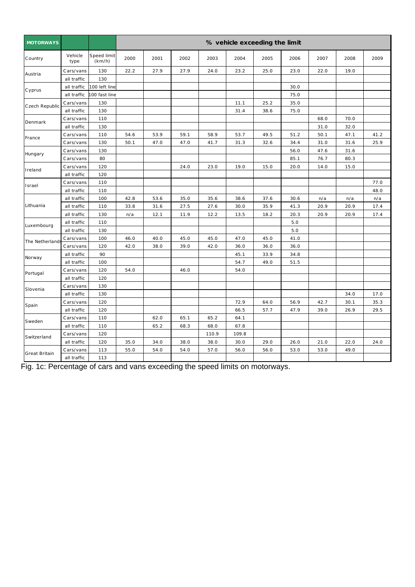| <b>MOTORWAYS</b>     |                 |                       |      |      |      |       |       | % vehicle exceeding the limit |      |      |      |      |
|----------------------|-----------------|-----------------------|------|------|------|-------|-------|-------------------------------|------|------|------|------|
| Country              | Vehicle<br>type | Speed limit<br>(km/h) | 2000 | 2001 | 2002 | 2003  | 2004  | 2005                          | 2006 | 2007 | 2008 | 2009 |
|                      | Cars/vans       | 130                   | 22.2 | 27.9 | 27.9 | 24.0  | 23.2  | 25.0                          | 23.0 | 22.0 | 19.0 |      |
| Austria              | all traffic     | 130                   |      |      |      |       |       |                               |      |      |      |      |
| C yprus              | all traffic     | 100 left line         |      |      |      |       |       |                               | 30.0 |      |      |      |
|                      | all traffic     | 00 fast line          |      |      |      |       |       |                               | 75.0 |      |      |      |
| Czech Republic       | Cars/vans       | 130                   |      |      |      |       | 11.1  | 25.2                          | 35.0 |      |      |      |
|                      | all traffic     | 130                   |      |      |      |       | 31.4  | 38.6                          | 75.0 |      |      |      |
| Denmark              | Cars/vans       | 110                   |      |      |      |       |       |                               |      | 68.0 | 70.0 |      |
|                      | all traffic     | 130                   |      |      |      |       |       |                               |      | 31.0 | 32.0 |      |
| France               | Cars/vans       | 110                   | 54.6 | 53.9 | 59.1 | 58.9  | 53.7  | 49.5                          | 51.2 | 50.1 | 47.1 | 41.2 |
|                      | Cars/vans       | 130                   | 50.1 | 47.0 | 47.0 | 41.7  | 31.3  | 32.6                          | 34.4 | 31.0 | 31.6 | 25.9 |
| Hungary              | Cars/vans       | 130                   |      |      |      |       |       |                               | 56.0 | 47.6 | 31.6 |      |
|                      | Cars/vans       | 80                    |      |      |      |       |       |                               | 85.1 | 76.7 | 80.3 |      |
| Ireland              | Cars/vans       | 120                   |      |      | 24.0 | 23.0  | 19.0  | 15.0                          | 20.0 | 14.0 | 15.0 |      |
|                      | all traffic     | 120                   |      |      |      |       |       |                               |      |      |      |      |
| Israel               | Cars/vans       | 110                   |      |      |      |       |       |                               |      |      |      | 77.0 |
|                      | all traffic     | 110                   |      |      |      |       |       |                               |      |      |      | 48.0 |
|                      | all traffic     | 100                   | 42.8 | 53.6 | 35.0 | 35.6  | 38.6  | 37.6                          | 30.6 | n/a  | n/a  | n/a  |
| Lithuania            | all traffic     | 110                   | 33.8 | 31.6 | 27.5 | 27.6  | 30.0  | 35.9                          | 41.3 | 20.9 | 20.9 | 17.4 |
|                      | all traffic     | 130                   | n/a  | 12.1 | 11.9 | 12.2  | 13.5  | 18.2                          | 20.3 | 20.9 | 20.9 | 17.4 |
| Luxembourg           | all traffic     | 110                   |      |      |      |       |       |                               | 5.0  |      |      |      |
|                      | all traffic     | 130                   |      |      |      |       |       |                               | 5.0  |      |      |      |
| The Netherland       | Cars/vans       | 100                   | 46.0 | 40.0 | 45.0 | 45.0  | 47.0  | 45.0                          | 41.0 |      |      |      |
|                      | Cars/vans       | 120                   | 42.0 | 38.0 | 39.0 | 42.0  | 36.0  | 36.0                          | 36.0 |      |      |      |
| Norway               | all traffic     | 90                    |      |      |      |       | 45.1  | 33.9                          | 34.8 |      |      |      |
|                      | all traffic     | 100                   |      |      |      |       | 54.7  | 49.0                          | 51.5 |      |      |      |
| Portugal             | Cars/vans       | 120                   | 54.0 |      | 46.0 |       | 54.0  |                               |      |      |      |      |
|                      | all traffic     | 120                   |      |      |      |       |       |                               |      |      |      |      |
| Slovenia             | Cars/vans       | 130                   |      |      |      |       |       |                               |      |      |      |      |
|                      | all traffic     | 130                   |      |      |      |       |       |                               |      |      | 34.0 | 17.0 |
| Spain                | Cars/vans       | 120                   |      |      |      |       | 72.9  | 64.0                          | 56.9 | 42.7 | 30.1 | 35.3 |
|                      | all traffic     | 120                   |      |      |      |       | 66.5  | 57.7                          | 47.9 | 39.0 | 26.9 | 29.5 |
| Sweden               | Cars/vans       | 110                   |      | 62.0 | 65.1 | 65.2  | 64.1  |                               |      |      |      |      |
|                      | all traffic     | 110                   |      | 65.2 | 68.3 | 68.0  | 67.8  |                               |      |      |      |      |
| Switzerland          | Cars/vans       | 120                   |      |      |      | 110.9 | 109.8 |                               |      |      |      |      |
|                      | all traffic     | 120                   | 35.0 | 34.0 | 38.0 | 38.0  | 30.0  | 29.0                          | 26.0 | 21.0 | 22.0 | 24.0 |
|                      | Cars/vans       | 113                   | 55.0 | 54.0 | 54.0 | 57.0  | 56.0  | 56.0                          | 53.0 | 53.0 | 49.0 |      |
| <b>Great Britain</b> | all traffic     | 113                   |      |      |      |       |       |                               |      |      |      |      |

Fig. 1c: Percentage of cars and vans exceeding the speed limits on motorways.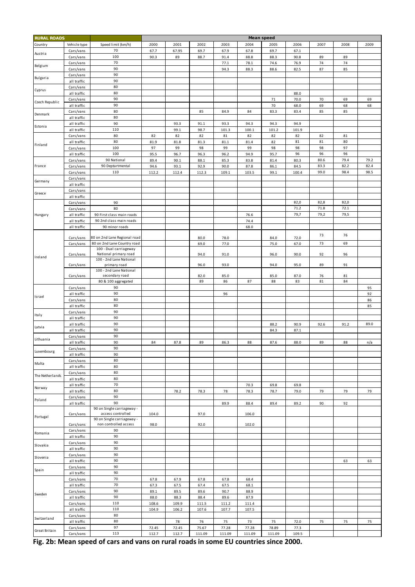| <b>RURAL ROADS</b> |              |                              | <b>Mean speed</b> |       |        |        |        |        |       |      |      |      |
|--------------------|--------------|------------------------------|-------------------|-------|--------|--------|--------|--------|-------|------|------|------|
|                    | Vehicle type | Speed limit (km/h)           | 2000              | 2001  | 2002   | 2003   | 2004   | 2005   | 2006  | 2007 | 2008 | 2009 |
| Country            |              |                              |                   |       |        |        |        |        |       |      |      |      |
| Austria            | Cars/vans    | 70                           | 67.7              | 67.95 | 69.7   | 67.9   | 67.8   | 69.7   | 67.1  |      |      |      |
|                    | Cars/vans    | 100                          | 90.3              | 89    | 88.7   | 91.4   | 88.8   | 88.3   | 90.8  | 89   | 89   |      |
| Belgium            | Cars/vans    | 70                           |                   |       |        | 77.1   | 78.1   | 74.6   | 76.9  | 74   | 74   |      |
|                    | Cars/vans    | 90                           |                   |       |        | 94.3   | 88.3   | 88.6   | 82.5  | 87   | 85   |      |
|                    | Cars/vans    | 90                           |                   |       |        |        |        |        |       |      |      |      |
| Bulgaria           | all traffic  | 90                           |                   |       |        |        |        |        |       |      |      |      |
|                    | Cars/vans    | 80                           |                   |       |        |        |        |        |       |      |      |      |
| Cyprus             | all traffic  | 80                           |                   |       |        |        |        |        | 88.0  |      |      |      |
|                    |              | 90                           |                   |       |        |        |        |        | 70.0  |      |      |      |
| Czech Republic     | Cars/vans    |                              |                   |       |        |        |        | 71     |       | 70   | 69   | 69   |
|                    | all traffic  | 90                           |                   |       |        |        |        | 70     | 68.0  | 69   | 68   | 68   |
| Denmark            | Cars/vans    | 80                           |                   |       | 85     | 84.9   | 84     | 83.3   | 83.4  | 85   | 85   |      |
|                    | all traffic  | 80                           |                   |       |        |        |        |        |       |      |      |      |
|                    | all traffic  | 90                           |                   | 93.3  | 91.1   | 93.3   | 94.3   | 94.3   | 94.9  |      |      |      |
| Estonia            | all traffic  | 110                          |                   | 99.1  | 98.7   | 101.3  | 100.1  | 101.2  | 101.9 |      |      |      |
|                    | Cars/vans    | 80                           | 82                | 82    | 82     | 81     | 82     | 82     | 82    | 82   | 81   |      |
|                    | all traffic  | 80                           | 81.9              | 81.8  | 81.3   | 81.1   | 81.4   | 82     | 81    | 81   | 80   |      |
| Finland            | Cars/vans    | 100                          | 97                | 99    | 98     | 99     | 99     | 98     | 98    | 98   | 97   |      |
|                    |              |                              |                   |       |        |        |        |        |       |      |      |      |
|                    | all traffic  | 100                          | 95.5              | 96.7  | 96.3   | 96.2   | 94.9   | 95.7   | 96    | 96   | 96   |      |
|                    | Cars/vans    | 90 National                  | 89.4              | 90.1  | 88.1   | 85.3   | 83.8   | 81.4   | 80.3  | 80.6 | 79.4 | 79.2 |
| France             | Cars/vans    | 90 Deptartmental             | 94.6              | 93.1  | 92.9   | 90.0   | 87.8   | 86.1   | 84.5  | 83.3 | 82.2 | 82.4 |
|                    | Cars/vans    | 110                          | 112.2             | 112.4 | 112.3  | 109.1  | 103.5  | 99.1   | 100.4 | 99.0 | 98.4 | 98.5 |
|                    | Cars/vans    |                              |                   |       |        |        |        |        |       |      |      |      |
| Germany            | all traffic  |                              |                   |       |        |        |        |        |       |      |      |      |
|                    | Cars/vans    |                              |                   |       |        |        |        |        |       |      |      |      |
| Greece             | all traffic  |                              |                   |       |        |        |        |        |       |      |      |      |
|                    |              |                              |                   |       |        |        |        |        | 82,0  | 82,8 | 82,0 |      |
|                    | Cars/vans    | 90                           |                   |       |        |        |        |        |       |      |      |      |
|                    | Cars/vans    | 80                           |                   |       |        |        |        |        | 71.2  | 71.8 | 72.1 |      |
| Hungary            | all traffic  | 90 First class main roads    |                   |       |        |        | 76.6   |        | 79,7  | 79,2 | 79,5 |      |
|                    | all traffic  | 90 2nd class main roads      |                   |       |        |        | 74.4   |        |       |      |      |      |
|                    | all traffic  | 90 minor roads               |                   |       |        |        | 68.0   |        |       |      |      |      |
|                    |              |                              |                   |       |        |        |        |        |       |      |      |      |
|                    | Cars/vans    | 80 on 2nd Lane Regional road |                   |       | 80.0   | 78.0   |        | 84.0   | 72.0  | 73   | 76   |      |
|                    | Cars/vans    | 80 on 2nd Lane Country road  |                   |       | 69.0   | 77.0   |        | 75.0   | 67.0  | 73   | 69   |      |
|                    |              | 100 - Dual carriageway       |                   |       |        |        |        |        |       |      |      |      |
|                    | Cars/vans    | National primary road        |                   |       | 94.0   | 91.0   |        | 96.0   | 90.0  | 92   | 96   |      |
| Ireland            |              | 100 - 2nd Lane National      |                   |       |        |        |        |        |       |      |      |      |
|                    | Cars/vans    | primary road                 |                   |       | 96.0   | 93.0   |        | 94.0   | 95.0  | 89   | 91   |      |
|                    |              | 100 - 2nd Lane National      |                   |       |        |        |        |        |       |      |      |      |
|                    | Cars/vans    | secondary road               |                   |       | 82.0   | 85.0   |        | 85.0   | 87.0  | 76   | 81   |      |
|                    |              | 80 & 100 aggregated          |                   |       | 89     | 86     | 87     | 88     | 83    | 81   | 84   |      |
|                    | Cars/vans    | 90                           |                   |       |        |        |        |        |       |      |      | 95   |
|                    | all traffic  | 90                           |                   |       |        | 96     |        |        |       |      |      | 92   |
| Israel             | Cars/vans    | 80                           |                   |       |        |        |        |        |       |      |      | 86   |
|                    |              | 80                           |                   |       |        |        |        |        |       |      |      | 85   |
|                    | all traffic  |                              |                   |       |        |        |        |        |       |      |      |      |
| Italy              | Cars/vans    | 90                           |                   |       |        |        |        |        |       |      |      |      |
|                    | all traffic  | 90                           |                   |       |        |        |        |        |       |      |      |      |
| Latvia             | all traffic  | 90                           |                   |       |        |        |        | 88.2   | 90.9  | 92.6 | 91.2 | 89.0 |
|                    | all traffic  | 90                           |                   |       |        |        |        | 84.3   | 87.1  |      |      |      |
|                    | Cars/vans    | 90                           |                   |       |        |        |        |        |       |      |      |      |
| Lithuania          | all traffic  | 90                           | 84                | 87.8  | 89     | 86.3   | 88     | 87.6   | 88.0  | 89   | 88   | n/a  |
|                    | Cars/vans    | 90                           |                   |       |        |        |        |        |       |      |      |      |
| Luxembourg         | all traffic  | 90                           |                   |       |        |        |        |        |       |      |      |      |
|                    |              |                              |                   |       |        |        |        |        |       |      |      |      |
| Malta              | Cars/vans    | 80                           |                   |       |        |        |        |        |       |      |      |      |
|                    | all traffic  | 80                           |                   |       |        |        |        |        |       |      |      |      |
| The Netherlands    | Cars/vans    | 80                           |                   |       |        |        |        |        |       |      |      |      |
|                    | all traffic  | 80                           |                   |       |        |        |        |        |       |      |      |      |
| Norway             | all traffic  | 70                           |                   |       |        |        | 70.3   | 69.8   | 69.8  |      |      |      |
|                    | all traffic  | 80                           |                   | 78.2  | 78.3   | 78     | 78.3   | 78.7   | 79.0  | 79   | 79   | 79   |
|                    | Cars/vans    | 90                           |                   |       |        |        |        |        |       |      |      |      |
| Poland             | all traffic  | 90                           |                   |       |        | 89.9   | 88.4   | 89.4   | 89.2  | 90   | 92   |      |
|                    |              | 90 on Single carriageway -   |                   |       |        |        |        |        |       |      |      |      |
|                    | Cars/vans    | access controlled            | 104.0             |       | 97.0   |        | 106.0  |        |       |      |      |      |
| Portugal           |              | 90 on Single carriageway -   |                   |       |        |        |        |        |       |      |      |      |
|                    | Cars/vans    | non controlled access        | 98.0              |       | 92.0   |        | 102.0  |        |       |      |      |      |
|                    | Cars/vans    | 90                           |                   |       |        |        |        |        |       |      |      |      |
| Romania            | all traffic  | 90                           |                   |       |        |        |        |        |       |      |      |      |
|                    | Cars/vans    | 90                           |                   |       |        |        |        |        |       |      |      |      |
| Slovakia           |              | 90                           |                   |       |        |        |        |        |       |      |      |      |
|                    | all traffic  |                              |                   |       |        |        |        |        |       |      |      |      |
| Slovenia           | Cars/vans    | 90                           |                   |       |        |        |        |        |       |      |      |      |
|                    | all traffic  | 90                           |                   |       |        |        |        |        |       |      | 63   | 63   |
|                    | Cars/vans    | 90                           |                   |       |        |        |        |        |       |      |      |      |
| Spain              | all traffic  | 90                           |                   |       |        |        |        |        |       |      |      |      |
|                    | Cars/vans    | 70                           | 67.8              | 67.9  | 67.8   | 67.8   | 68.4   |        |       |      |      |      |
|                    | all traffic  | 70                           | 67.3              | 67.5  | 67.4   | 67.5   | 68.1   |        |       |      |      |      |
|                    | Cars/vans    | 90                           | 89.1              | 89.5  | 89.6   | 90.7   | 88.9   |        |       |      |      |      |
| Sweden             |              |                              |                   |       |        |        |        |        |       |      |      |      |
|                    | all traffic  | 90                           | 88.0              | 88.3  | 88.4   | 89.6   | 87.9   |        |       |      |      |      |
|                    | Cars/vans    | 110                          | 108.6             | 109.9 | 111.5  | 111.2  | 111.4  |        |       |      |      |      |
|                    | all traffic  | 110                          | 104.9             | 106.2 | 107.6  | 107.7  | 107.5  |        |       |      |      |      |
|                    | Cars/vans    | 80                           |                   |       |        |        |        |        |       |      |      |      |
| Switzerland        | all traffic  | 80                           |                   | 78    | 76     | 75     | 73     | 75     | 72.0  | 75   | 75   | 75   |
|                    | Cars/vans    | 97                           | 72.45             | 72.45 | 75.67  | 77.28  | 77.28  | 78.89  | 77.3  |      |      |      |
| Great Britain      | Cars/vans    | 113                          | 112.7             | 112.7 | 111.09 | 111.09 | 111.09 | 111.09 | 109.5 |      |      |      |
|                    |              |                              |                   |       |        |        |        |        |       |      |      |      |

 **Fig. 2b: Mean speed of cars and vans on rural roads in some EU countries since 2000.**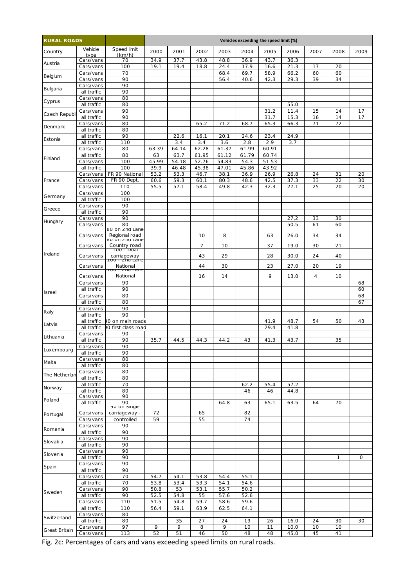| <b>RURAL ROADS</b> |                          |                                            |              |              |              |              | Vehicles exceeding the speed limit (%) |              |              |          |              |                       |
|--------------------|--------------------------|--------------------------------------------|--------------|--------------|--------------|--------------|----------------------------------------|--------------|--------------|----------|--------------|-----------------------|
| Country            | Vehicle<br>type          | Speed limit<br>(km/h)                      | 2000         | 2001         | 2002         | 2003         | 2004                                   | 2005         | 2006         | 2007     | 2008         | 2009                  |
| Austria            | Cars/vans                | 70                                         | 34.9         | 37.7         | 43.8         | 48.8         | 36.9                                   | 43.7         | 36.3         |          |              |                       |
|                    | Cars/vans                | 100                                        | 19.1         | 19.4         | 18.8         | 24.4         | 17.9                                   | 16.6         | 21.3         | 17       | 20           |                       |
| Belgium            | Cars/vans<br>Cars/vans   | 70<br>90                                   |              |              |              | 68.4<br>56.4 | 69.7<br>40.6                           | 58.9<br>42.3 | 66.2<br>29.3 | 60<br>39 | 60<br>34     |                       |
|                    | Cars/vans                | 90                                         |              |              |              |              |                                        |              |              |          |              |                       |
| Bulgaria           | all traffic              | 90                                         |              |              |              |              |                                        |              |              |          |              |                       |
| Cyprus             | Cars/vans                | 80                                         |              |              |              |              |                                        |              |              |          |              |                       |
|                    | all traffic              | 80                                         |              |              |              |              |                                        |              | 55.0         |          |              |                       |
| Czech Republi      | Cars/vans<br>all traffic | 90<br>90                                   |              |              |              |              |                                        | 31.2<br>31.7 | 11.4<br>15.3 | 15<br>16 | 14<br>14     | 17<br>$1\overline{7}$ |
|                    | Cars/vans                | 80                                         |              |              | 65.2         | 71.2         | 68.7                                   | 65.3         | 66.3         | 71       | 72           |                       |
| Denmark            | all traffic              | 80                                         |              |              |              |              |                                        |              |              |          |              |                       |
| Estonia            | all traffic              | 90                                         |              | 22.6         | 16.1         | 20.1         | 24.6                                   | 23.4         | 24.9         |          |              |                       |
|                    | all traffic<br>Cars/vans | 110<br>80                                  | 63.39        | 3.4<br>64.14 | 3.4<br>62.28 | 3.6<br>61.37 | 2.8<br>61.99                           | 2.9<br>60.91 | 3.7          |          |              |                       |
|                    | all traffic              | 80                                         | 63           | 63.7         | 61.95        | 61.12        | 61.79                                  | 60.74        |              |          |              |                       |
| Finland            | Cars/vans                | 100                                        | 45.99        | 54.18        | 52.76        | 54.83        | 54.3                                   | 51.53        |              |          |              |                       |
|                    | all traffic              | 100                                        | 39.9         | 46.48        | 45.38        | 47.01        | 45.86                                  | 43.92        |              |          |              |                       |
|                    | Cars/vans                | FR 90 National                             | 53.2         | 53.3         | 46.7         | 38.1         | 36.9                                   | 26.9         | 26.8         | 24       | 31           | 20                    |
| France             | Cars/vans<br>Cars/vans   | FR 90 Dept.<br>110                         | 60.6<br>55.5 | 59.3<br>57.1 | 60.1<br>58.4 | 80.3<br>49.8 | 48.6<br>42.3                           | 42.5<br>32.3 | 37.3<br>27.1 | 33<br>25 | 22<br>20     | 30<br>20              |
|                    | Cars/vans                | 100                                        |              |              |              |              |                                        |              |              |          |              |                       |
| Germany            | all traffic              | 100                                        |              |              |              |              |                                        |              |              |          |              |                       |
| Greece             | Cars/vans                | 90                                         |              |              |              |              |                                        |              |              |          |              |                       |
|                    | all traffic              | 90                                         |              |              |              |              |                                        |              |              |          |              |                       |
| Hungary            | Cars/vans<br>Cars/vans   | 90<br>80                                   |              |              |              |              |                                        |              | 27,2<br>50.5 | 33<br>61 | 30<br>60     |                       |
|                    |                          | 80 on 2nd Lane                             |              |              |              |              |                                        |              |              |          |              |                       |
|                    | Cars/vans                | Regional road<br><del>su ōn zna Lane</del> |              |              | 10           | 8            |                                        | 63           | 26.0         | 34       | 34           |                       |
|                    | Cars/vans                | Country road                               |              |              | 7            | 10           |                                        | 37           | 19.0         | 30       | 21           |                       |
| Ireland            | Cars/vans                | ⊤oo -*Duar                                 |              |              | 43           | 29           |                                        | 28           | 30.0         | 24       | 40           |                       |
|                    |                          | carriageway<br><del>וסט - צחם במחכ</del>   |              |              |              |              |                                        |              |              |          |              |                       |
|                    | Cars/vans                | National<br><del>oo - zna cane</del>       |              |              | 44           | 30           |                                        | 23           | 27.0         | 20       | 19           |                       |
|                    | Cars/vans                | National                                   |              |              | 16           | 14           |                                        | 9            | 13.0         | 4        | 10           |                       |
|                    | Cars/vans                | 90                                         |              |              |              |              |                                        |              |              |          |              | 68                    |
| Israel             | all traffic              | 90                                         |              |              |              |              |                                        |              |              |          |              | 60                    |
|                    | Cars/vans<br>all traffic | 80<br>80                                   |              |              |              |              |                                        |              |              |          |              | 68<br>67              |
|                    | Cars/vans                | 90                                         |              |              |              |              |                                        |              |              |          |              |                       |
| Italy              | all traffic              | 90                                         |              |              |              |              |                                        |              |              |          |              |                       |
| Latvia             | all traffic              | 0 on main roads                            |              |              |              |              |                                        | 41.9         | 48.7         | 54       | 50           | 43                    |
|                    | all traffic<br>Cars/vans | 0 first class road<br>90                   |              |              |              |              |                                        | 29.4         | 41.8         |          |              |                       |
| Lithuania          | all traffic              | 90                                         | 35.7         | 44.5         | 44.3         | 44.2         | 43                                     | 41.3         | 43.7         |          | 35           |                       |
|                    | Cars/vans                | 90                                         |              |              |              |              |                                        |              |              |          |              |                       |
| Luxembourg         | all traffic              | 90                                         |              |              |              |              |                                        |              |              |          |              |                       |
| Malta              | Cars/vans                | 80                                         |              |              |              |              |                                        |              |              |          |              |                       |
|                    | all traffic<br>Cars/vans | 80<br>80                                   |              |              |              |              |                                        |              |              |          |              |                       |
| The Netherlan      | all traffic              | 80                                         |              |              |              |              |                                        |              |              |          |              |                       |
| Norway             | all traffic              | 70                                         |              |              |              |              | 62.2                                   | 55.4         | 57.2         |          |              |                       |
|                    | all traffic<br>Cars/vans | 80<br>90                                   |              |              |              |              | 46                                     | 46           | 44.8         |          |              |                       |
| Poland             | all traffic              | 90                                         |              |              |              | 64.8         | 63                                     | 65.1         | 63.5         | 64       | 70           |                       |
|                    |                          | <del>yu un single</del>                    |              |              |              |              |                                        |              |              |          |              |                       |
| Portugal           | Cars/vans<br>Cars/vans   | carriageway -<br>controlled                | 72<br>59     |              | 65<br>55     |              | 82<br>74                               |              |              |          |              |                       |
|                    | Cars/vans                | 90                                         |              |              |              |              |                                        |              |              |          |              |                       |
| Romania            | all traffic              | 90                                         |              |              |              |              |                                        |              |              |          |              |                       |
| Slovakia           | Cars/vans                | 90                                         |              |              |              |              |                                        |              |              |          |              |                       |
|                    | all traffic              | 90<br>90                                   |              |              |              |              |                                        |              |              |          |              |                       |
| Slovenia           | Cars/vans<br>all traffic | 90                                         |              |              |              |              |                                        |              |              |          | $\mathbf{1}$ | 0                     |
|                    | Cars/vans                | 90                                         |              |              |              |              |                                        |              |              |          |              |                       |
| Spain              | all traffic              | 90                                         |              |              |              |              |                                        |              |              |          |              |                       |
|                    | Cars/vans                | 70                                         | 54.7         | 54.1         | 53.8         | 54.4         | 55.1                                   |              |              |          |              |                       |
|                    | all traffic<br>Cars/vans | 70<br>90                                   | 53.8<br>50.8 | 53.4<br>53   | 53.3<br>53.1 | 54.1<br>55.7 | 54.6<br>50.2                           |              |              |          |              |                       |
| Sweden             | all traffic              | 90                                         | 52.5         | 54.8         | 55           | 57.6         | 52.6                                   |              |              |          |              |                       |
|                    | Cars/vans                | 110                                        | 51.5         | 54.8         | 59.7         | 58.6         | 59.6                                   |              |              |          |              |                       |
|                    | all traffic              | 110                                        | 56.4         | 59.1         | 63.9         | 62.5         | 64.1                                   |              |              |          |              |                       |
| Switzerland        | Cars/vans                | 80                                         |              |              |              |              |                                        |              |              |          |              |                       |
|                    | all traffic<br>Cars/vans | 80<br>97                                   | 9            | 35<br>9      | 27<br>8      | 24<br>9      | 19<br>10                               | 26<br>11     | 16.0<br>10.0 | 24<br>10 | 30<br>10     | 30                    |
| Great Britain      | Cars/vans                | 113                                        | 52           | 51           | 46           | 50           | 48                                     | 48           | 45.0         | 45       | 41           |                       |

Fig. 2c: Percentages of cars and vans exceeding speed limits on rural roads.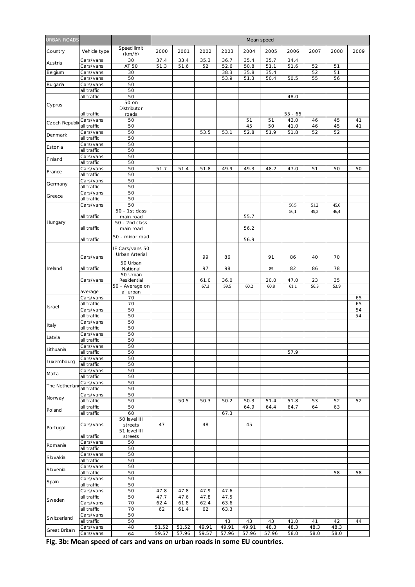| <b>JRBAN ROADS</b> |                            |                                   |       |       |       |              |              | Mean speed   |                   |              |              |          |
|--------------------|----------------------------|-----------------------------------|-------|-------|-------|--------------|--------------|--------------|-------------------|--------------|--------------|----------|
| Country            | Vehicle type               | Speed limit<br>(km/h)             | 2000  | 2001  | 2002  | 2003         | 2004         | 2005         | 2006              | 2007         | 2008         | 2009     |
| Austria            | Cars/vans                  | 30                                | 37.4  | 33.4  | 35.3  | 36.7         | 35.4         | 35.7         | 34.4              |              |              |          |
|                    | Cars/vans                  | AT 50                             | 51.3  | 51.6  | 52    | 52.6         | 50.8         | 51.1         | 51.6              | 52           | 51           |          |
| Belgium            | Cars/vans<br>Cars/vans     | 30<br>50                          |       |       |       | 38.3<br>53.9 | 35.8<br>51.3 | 35.4<br>50.4 | 50.5              | 52<br>55     | 51<br>56     |          |
| Bulgaria           | Cars/vans                  | 50                                |       |       |       |              |              |              |                   |              |              |          |
|                    | all traffic                | 50                                |       |       |       |              |              |              |                   |              |              |          |
|                    | all traffic                | 50                                |       |       |       |              |              |              | 48.0              |              |              |          |
| Cyprus             |                            | $50$ on<br>Distributor            |       |       |       |              |              |              |                   |              |              |          |
| Czech Republ       | all traffic<br>Cars/vans   | roads<br>50                       |       |       |       |              | 51           | 51           | $55 - 65$<br>43.0 | 46           | 45           | 41       |
|                    | all traffic<br>Cars/vans   | 50<br>50                          |       |       | 53.5  | 53.1         | 45<br>52.8   | 50<br>51.9   | 41.0<br>51.8      | 46<br>52     | 45<br>52     | 41       |
| Denmark            | all traffic                | 50                                |       |       |       |              |              |              |                   |              |              |          |
| Estonia            | Cars/vans<br>all traffic   | 50<br>50                          |       |       |       |              |              |              |                   |              |              |          |
|                    | Cars/vans                  | 50                                |       |       |       |              |              |              |                   |              |              |          |
| Finland            | all traffic                | 50                                |       |       |       |              |              |              |                   |              |              |          |
| France             | Cars/vans                  | 50                                | 51.7  | 51.4  | 51.8  | 49.9         | 49.3         | 48.2         | 47.0              | 51           | 50           | 50       |
|                    | all traffic<br>Cars/vans   | 50<br>50                          |       |       |       |              |              |              |                   |              |              |          |
| Germany            | all traffic                | 50                                |       |       |       |              |              |              |                   |              |              |          |
| Greece             | Cars/vans                  | 50                                |       |       |       |              |              |              |                   |              |              |          |
|                    | all traffic                | 50                                |       |       |       |              |              |              |                   |              |              |          |
|                    | Cars/vans                  | 50<br>50 - 1st class              |       |       |       |              |              |              | 56,5              | 51,2<br>49,3 | 45,6<br>46,4 |          |
|                    | all traffic                | main road                         |       |       |       |              | 55.7         |              | 56,1              |              |              |          |
| Hungary            | all traffic                | 50 - 2nd class<br>main road       |       |       |       |              | 56.2         |              |                   |              |              |          |
|                    |                            | 50 - minor road                   |       |       |       |              |              |              |                   |              |              |          |
|                    | all traffic                |                                   |       |       |       |              | 56.9         |              |                   |              |              |          |
|                    | Cars/vans                  | IE Cars/vans 50<br>Urban Arterial |       |       | 99    | 86           |              | 91           | 86                | 40           | 70           |          |
|                    |                            | 50 Urban                          |       |       |       |              |              |              |                   |              |              |          |
| Ireland            | all traffic                | National<br>50 Urban              |       |       | 97    | 98           |              | 89           | 82                | 86           | 78           |          |
|                    | Cars/vans                  | Residential                       |       |       | 61.0  | 36.0         |              | 20.0         | 47.0              | 23           | 35           |          |
|                    |                            | 50 - Average on                   |       |       | 67.3  | 59.5         | 60.2         | 60.8         | 61.1              | 56.3         | 53.9         |          |
|                    | average                    | all urban                         |       |       |       |              |              |              |                   |              |              |          |
|                    | Cars/vans<br>all traffic   | 70<br>70                          |       |       |       |              |              |              |                   |              |              | 65<br>65 |
| Israel             | Cars/vans                  | 50                                |       |       |       |              |              |              |                   |              |              | 54       |
|                    | all traffic                | 50                                |       |       |       |              |              |              |                   |              |              | 54       |
| Italy              | Cars/vans<br>all traffic   | 50<br>50                          |       |       |       |              |              |              |                   |              |              |          |
|                    | Cars/vans                  | 50                                |       |       |       |              |              |              |                   |              |              |          |
| Latvia             | all traffic                | 50                                |       |       |       |              |              |              |                   |              |              |          |
| Lithuania          | Cars/vans                  | 50                                |       |       |       |              |              |              |                   |              |              |          |
|                    | all traffic<br>Cars/vans   | 50<br>50                          |       |       |       |              |              |              | 57.9              |              |              |          |
| Luxembourg         | all traffic                | 50                                |       |       |       |              |              |              |                   |              |              |          |
| Malta              | Cars/vans                  | 50                                |       |       |       |              |              |              |                   |              |              |          |
|                    | all traffic                | 50                                |       |       |       |              |              |              |                   |              |              |          |
| The Netherlar      | Cars/vans<br>all traffic   | 50<br>50                          |       |       |       |              |              |              |                   |              |              |          |
| Norway             | Cars/vans                  | 50                                |       |       |       |              |              |              |                   |              |              |          |
|                    | all traffic                | 50                                |       | 50.5  | 50.3  | 50.2         | 50.3         | 51.4         | 51.8              | 53           | 52           | 52       |
| Poland             | all traffic<br>all traffic | 50<br>60                          |       |       |       | 67.3         | 64.9         | 64.4         | 64.7              | 64           | 63           |          |
|                    |                            | 50 level III                      |       |       |       |              |              |              |                   |              |              |          |
| Portugal           | Cars/vans                  | streets<br>51 level III           | 47    |       | 48    |              | 45           |              |                   |              |              |          |
|                    | all traffic                | streets                           |       |       |       |              |              |              |                   |              |              |          |
| Romania            | Cars/vans                  | 50                                |       |       |       |              |              |              |                   |              |              |          |
|                    | all traffic                | 50<br>50                          |       |       |       |              |              |              |                   |              |              |          |
| Slovakia           | Cars/vans<br>all traffic   | 50                                |       |       |       |              |              |              |                   |              |              |          |
| Slovenia           | Cars/vans                  | 50                                |       |       |       |              |              |              |                   |              |              |          |
|                    | all traffic                | 50                                |       |       |       |              |              |              |                   |              | 58           | 58       |
| Spain              | Cars/vans                  | 50                                |       |       |       |              |              |              |                   |              |              |          |
|                    | all traffic<br>Cars/vans   | 50<br>50                          | 47.8  | 47.8  | 47.9  | 47.6         |              |              |                   |              |              |          |
|                    | all traffic                | 50                                | 47.7  | 47.6  | 47.8  | 47.5         |              |              |                   |              |              |          |
| Sweden             | Cars/vans                  | 70                                | 62.4  | 61.8  | 62.4  | 63.6         |              |              |                   |              |              |          |
|                    | all traffic                | 70<br>50                          | 62    | 61.4  | 62    | 63.3         |              |              |                   |              |              |          |
| Switzerland        | Cars/vans<br>all traffic   | 50                                |       |       |       | 43           | 43           | 43           | 41.0              | 41           | 42           | 44       |
| Great Britain      | Cars/vans                  | 48                                | 51.52 | 51.52 | 49.91 | 49.91        | 49.91        | 48.3         | 48.3              | 48.3         | 48.3         |          |
|                    | Cars/vans                  | 64                                | 59.57 | 57.96 | 59.57 | 57.96        | 57.96        | 57.96        | 58.0              | 58.0         | 58.0         |          |

**Fig. 3b: Mean speed of cars and vans on urban roads in some EU countries.**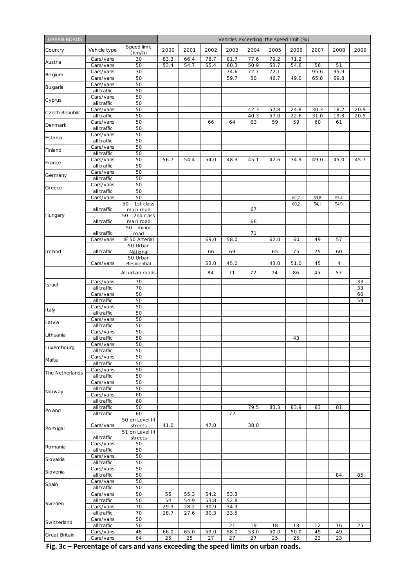| <b>URBAN ROADS</b> |                            |                             | Vehicles exceeding the speed limit (%) |              |              |              |              |              |              |              |                |              |
|--------------------|----------------------------|-----------------------------|----------------------------------------|--------------|--------------|--------------|--------------|--------------|--------------|--------------|----------------|--------------|
| Country            | Vehicle type               | Speed limit<br>(km/h)       | 2000                                   | 2001         | 2002         | 2003         | 2004         | 2005         | 2006         | 2007         | 2008           | 2009         |
| Austria            | Cars/vans<br>Cars/vans     | 30<br>50                    | 83.3<br>53.4                           | 66.4<br>54.7 | 78.7<br>55.4 | 81.7<br>60.3 | 77.6<br>50.9 | 79.2<br>53.7 | 71.2<br>54.6 | 56           | 51             |              |
| Belgium            | Cars/vans<br>Cars/vans     | 30<br>50                    |                                        |              |              | 74.6<br>59.7 | 72.7<br>50   | 72.1<br>46.7 | 49.0         | 95.6<br>65.8 | 95.9<br>69.8   |              |
| Bulgaria           | Cars/vans<br>all traffic   | 50<br>50                    |                                        |              |              |              |              |              |              |              |                |              |
| Cyprus             | Cars/vans<br>all traffic   | 50<br>50                    |                                        |              |              |              |              |              |              |              |                |              |
| Czech Republic     | Cars/vans<br>all traffic   | 50<br>50                    |                                        |              |              |              | 42.3<br>40.3 | 57.8<br>57.0 | 24.8<br>22.6 | 30.3<br>31.0 | 18.2<br>19.3   | 20.9<br>20.5 |
| Denmark            | Cars/vans<br>all traffic   | 50<br>50                    |                                        |              | 66           | 64           | 63           | 59           | 59           | 60           | 61             |              |
| Estonia            | Cars/vans                  | 50<br>50                    |                                        |              |              |              |              |              |              |              |                |              |
| Finland            | all traffic<br>Cars/vans   | 50                          |                                        |              |              |              |              |              |              |              |                |              |
| France             | all traffic<br>Cars/vans   | 50<br>50                    | 56.7                                   | 54.4         | 54.0         | 48.3         | 45.1         | 42.6         | 34.9         | 49.0         | 45.0           | 45.7         |
| Germany            | all traffic<br>Cars/vans   | 50<br>50                    |                                        |              |              |              |              |              |              |              |                |              |
|                    | all traffic<br>Cars/vans   | 50<br>50                    |                                        |              |              |              |              |              |              |              |                |              |
| Greece             | all traffic<br>Cars/vans   | 50<br>50                    |                                        |              |              |              |              |              | 62,7         | 59,8         | 53,4           |              |
|                    |                            | 50 - 1st class              |                                        |              |              |              |              |              | 69,2         | 54,1         | 54,9           |              |
| Hungary            | all traffic                | main road<br>50 - 2nd class |                                        |              |              |              | 67           |              |              |              |                |              |
|                    | all traffic<br>all traffic | main road<br>50 - minor     |                                        |              |              |              | 66<br>71     |              |              |              |                |              |
|                    | Cars/vans                  | road<br>IE 50 Arterial      |                                        |              | 69.0         | 58.0         |              | 62.0         | 60           | 49           | 57             |              |
| Ireland            | all traffic                | 50 Urban<br>National        |                                        |              | 66           | 69           |              | 65           | 75           | 75           | 60             |              |
|                    | Cars/vans                  | 50 Urban<br>Residential     |                                        |              | 53.0         | 45.0         |              | 43.0         | 51.0         | 45           | $\overline{4}$ |              |
|                    |                            | All urban roads             |                                        |              | 84           | 71           | 72           | 74           | 86           | 45           | 53             |              |
| Israel             | Cars/vans<br>all traffic   | 70<br>70                    |                                        |              |              |              |              |              |              |              |                | 33<br>33     |
|                    | Cars/vans                  | 50                          |                                        |              |              |              |              |              |              |              |                | 60           |
|                    | all traffic                | 50                          |                                        |              |              |              |              |              |              |              |                | 59           |
| Italy              | Cars/vans<br>all traffic   | 50<br>50                    |                                        |              |              |              |              |              |              |              |                |              |
| Latvia             | Cars/vans                  | 50                          |                                        |              |              |              |              |              |              |              |                |              |
|                    | all traffic<br>Cars/vans   | 50<br>50                    |                                        |              |              |              |              |              |              |              |                |              |
| Lithuania          | all traffic                | 50                          |                                        |              |              |              |              |              | 43           |              |                |              |
| Luxembourg         | Cars/vans                  | 50                          |                                        |              |              |              |              |              |              |              |                |              |
|                    | all traffic<br>Cars/vans   | 50<br>50                    |                                        |              |              |              |              |              |              |              |                |              |
| Malta              | all traffic                | 50                          |                                        |              |              |              |              |              |              |              |                |              |
| The Netherlands    | Cars/vans<br>all traffic   | 50<br>50                    |                                        |              |              |              |              |              |              |              |                |              |
|                    | Cars/vans                  | 50                          |                                        |              |              |              |              |              |              |              |                |              |
| Norway             | all traffic                | 50                          |                                        |              |              |              |              |              |              |              |                |              |
|                    | Cars/vans<br>all traffic   | 60<br>60                    |                                        |              |              |              |              |              |              |              |                |              |
| Poland             | all traffic                | 50                          |                                        |              |              |              | 79.5         | 83.3         | 83.9         | 83           | 81             |              |
|                    | all traffic                | 60<br>50 on Level III       |                                        |              |              | 72           |              |              |              |              |                |              |
| Portugal           | Cars/vans                  | streets<br>51 on Level III  | 41.0                                   |              | 47.0         |              | 38.0         |              |              |              |                |              |
|                    | all traffic<br>Cars/vans   | streets<br>50               |                                        |              |              |              |              |              |              |              |                |              |
| Romania            | all traffic                | 50                          |                                        |              |              |              |              |              |              |              |                |              |
| Slovakia           | Cars/vans<br>all traffic   | 50<br>50                    |                                        |              |              |              |              |              |              |              |                |              |
| Slovenia           | Cars/vans                  | 50                          |                                        |              |              |              |              |              |              |              |                |              |
|                    | all traffic                | 50<br>50                    |                                        |              |              |              |              |              |              |              | 84             | 85           |
| Spain              | Cars/vans<br>all traffic   | 50                          |                                        |              |              |              |              |              |              |              |                |              |
|                    | Cars/vans                  | 50                          | 55                                     | 55.3         | 54.2         | 53.3         |              |              |              |              |                |              |
| Sweden             | all traffic                | 50<br>70                    | 54<br>29.3                             | 54.9<br>28.2 | 53.8<br>30.9 | 52.8<br>34.3 |              |              |              |              |                |              |
|                    | Cars/vans<br>all traffic   | 70                          | 28.7                                   | 27.6         | 30.3         | 33.5         |              |              |              |              |                |              |
| Switzerland        | Cars/vans                  | 50                          |                                        |              |              |              |              |              |              |              |                |              |
|                    | all traffic<br>Cars/vans   | 50<br>48                    | 66.0                                   | 65.0         | 59.0         | 21<br>58.0   | 19<br>53.0   | 18<br>50.0   | 13<br>50.0   | 12<br>49     | 16<br>49       | 25           |
| Great Britain      | Cars/vans                  | 64                          | 25                                     | 25           | 27           | 27           | 27           | 25           | 25           | 23           | 23             |              |

**Fig. 3c – Percentage of cars and vans exceeding the speed limits on urban roads.**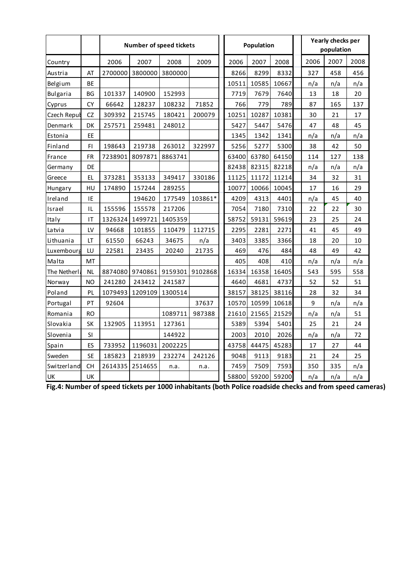|                 |           |         | Number of speed tickets |         |         |       | Population |       |      | Yearly checks per<br>population |      |
|-----------------|-----------|---------|-------------------------|---------|---------|-------|------------|-------|------|---------------------------------|------|
| Country         |           | 2006    | 2007                    | 2008    | 2009    | 2006  | 2007       | 2008  | 2006 | 2007                            | 2008 |
| Austria         | AT        | 2700000 | 3800000                 | 3800000 |         | 8266  | 8299       | 8332  | 327  | 458                             | 456  |
| Belgium         | BE        |         |                         |         |         | 10511 | 10585      | 10667 | n/a  | n/a                             | n/a  |
| <b>Bulgaria</b> | BG        | 101337  | 140900                  | 152993  |         | 7719  | 7679       | 7640  | 13   | 18                              | 20   |
| Cyprus          | CY        | 66642   | 128237                  | 108232  | 71852   | 766   | 779        | 789   | 87   | 165                             | 137  |
| Czech Repul     | CZ        | 309392  | 215745                  | 180421  | 200079  | 10251 | 10287      | 10381 | 30   | 21                              | 17   |
| Denmark         | DK        | 257571  | 259481                  | 248012  |         | 5427  | 5447       | 5476  | 47   | 48                              | 45   |
| Estonia         | EE        |         |                         |         |         | 1345  | 1342       | 1341  | n/a  | n/a                             | n/a  |
| Finland         | FI        | 198643  | 219738                  | 263012  | 322997  | 5256  | 5277       | 5300  | 38   | 42                              | 50   |
| France          | <b>FR</b> | 7238901 | 8097871                 | 8863741 |         | 63400 | 63780      | 64150 | 114  | 127                             | 138  |
| Germany         | DE        |         |                         |         |         | 82438 | 82315      | 82218 | n/a  | n/a                             | n/a  |
| Greece          | EL.       | 373281  | 353133                  | 349417  | 330186  | 11125 | 11172      | 11214 | 34   | 32                              | 31   |
| Hungary         | HU        | 174890  | 157244                  | 289255  |         | 10077 | 10066      | 10045 | 17   | 16                              | 29   |
| Ireland         | IE        |         | 194620                  | 177549  | 103861* | 4209  | 4313       | 4401  | n/a  | 45                              | 40   |
| Israel          | IL        | 155596  | 155578                  | 217206  |         | 7054  | 7180       | 7310  | 22   | 22                              | 30   |
| Italy           | IT        | 1326324 | 1499721                 | 1405359 |         | 58752 | 59131      | 59619 | 23   | 25                              | 24   |
| Latvia          | LV        | 94668   | 101855                  | 110479  | 112715  | 2295  | 2281       | 2271  | 41   | 45                              | 49   |
| Lithuania       | LT        | 61550   | 66243                   | 34675   | n/a     | 3403  | 3385       | 3366  | 18   | 20                              | 10   |
| Luxembourg      | LU        | 22581   | 23435                   | 20240   | 21735   | 469   | 476        | 484   | 48   | 49                              | 42   |
| Malta           | MT        |         |                         |         |         | 405   | 408        | 410   | n/a  | n/a                             | n/a  |
| The Netherl:    | <b>NL</b> | 8874080 | 9740861                 | 9159301 | 9102868 | 16334 | 16358      | 16405 | 543  | 595                             | 558  |
| Norway          | <b>NO</b> | 241280  | 243412                  | 241587  |         | 4640  | 4681       | 4737  | 52   | 52                              | 51   |
| Poland          | PL        | 1079493 | 1209109                 | 1300514 |         | 38157 | 38125      | 38116 | 28   | 32                              | 34   |
| Portugal        | PT        | 92604   |                         |         | 37637   | 10570 | 10599      | 10618 | 9    | n/a                             | n/a  |
| Romania         | RO        |         |                         | 1089711 | 987388  | 21610 | 21565      | 21529 | n/a  | n/a                             | 51   |
| Slovakia        | <b>SK</b> | 132905  | 113951                  | 127361  |         | 5389  | 5394       | 5401  | 25   | 21                              | 24   |
| Slovenia        | SI        |         |                         | 144922  |         | 2003  | 2010       | 2026  | n/a  | n/a                             | 72   |
| Spain           | ES        | 733952  | 1196031                 | 2002225 |         | 43758 | 44475      | 45283 | 17   | 27                              | 44   |
| Sweden          | <b>SE</b> | 185823  | 218939                  | 232274  | 242126  | 9048  | 9113       | 9183  | 21   | 24                              | 25   |
| Switzerland     | CH        | 2614335 | 2514655                 | n.a.    | n.a.    | 7459  | 7509       | 7593  | 350  | 335                             | n/a  |
| UK              | UK        |         |                         |         |         | 58800 | 59200      | 59200 | n/a  | n/a                             | n/a  |

**Fig.4: Number of speed tickets per 1000 inhabitants (both Police roadside checks and from speed cameras)**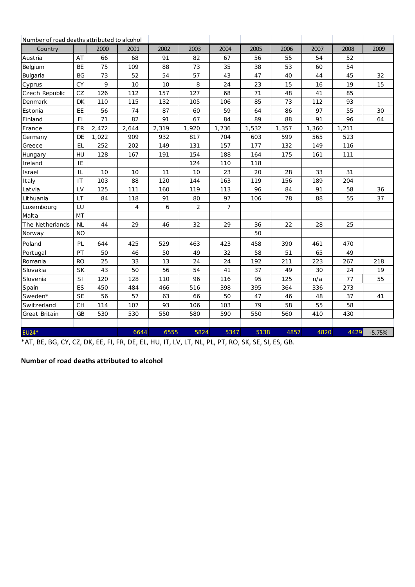| Number of road deaths attributed to alcohol |           |       |                |       |                |                |       |       |       |       |          |
|---------------------------------------------|-----------|-------|----------------|-------|----------------|----------------|-------|-------|-------|-------|----------|
| Country                                     |           | 2000  | 2001           | 2002  | 2003           | 2004           | 2005  | 2006  | 2007  | 2008  | 2009     |
| Austria                                     | AT        | 66    | 68             | 91    | 82             | 67             | 56    | 55    | 54    | 52    |          |
| Belgium                                     | <b>BE</b> | 75    | 109            | 88    | 73             | 35             | 38    | 53    | 60    | 54    |          |
| Bulgaria                                    | <b>BG</b> | 73    | 52             | 54    | 57             | 43             | 47    | 40    | 44    | 45    | 32       |
| Cyprus                                      | <b>CY</b> | 9     | 10             | 10    | 8              | 24             | 23    | 15    | 16    | 19    | 15       |
| Czech Republic                              | CZ        | 126   | 112            | 157   | 127            | 68             | 71    | 48    | 41    | 85    |          |
| Denmark                                     | <b>DK</b> | 110   | 115            | 132   | 105            | 106            | 85    | 73    | 112   | 93    |          |
| Estonia                                     | EE        | 56    | 74             | 87    | 60             | 59             | 64    | 86    | 97    | 55    | 30       |
| Finland                                     | F1.       | 71    | 82             | 91    | 67             | 84             | 89    | 88    | 91    | 96    | 64       |
| France                                      | <b>FR</b> | 2,472 | 2,644          | 2,319 | 1,920          | 1,736          | 1,532 | 1,357 | 1,360 | 1,211 |          |
| Germany                                     | <b>DE</b> | 1,022 | 909            | 932   | 817            | 704            | 603   | 599   | 565   | 523   |          |
| Greece                                      | <b>EL</b> | 252   | 202            | 149   | 131            | 157            | 177   | 132   | 149   | 116   |          |
| Hungary                                     | HU        | 128   | 167            | 191   | 154            | 188            | 164   | 175   | 161   | 111   |          |
| Ireland                                     | IE        |       |                |       | 124            | 110            | 118   |       |       |       |          |
| Israel                                      | IL        | 10    | 10             | 11    | 10             | 23             | 20    | 28    | 33    | 31    |          |
| Italy                                       | IT        | 103   | 88             | 120   | 144            | 163            | 119   | 156   | 189   | 204   |          |
| Latvia                                      | LV        | 125   | 111            | 160   | 119            | 113            | 96    | 84    | 91    | 58    | 36       |
| Lithuania                                   | <b>LT</b> | 84    | 118            | 91    | 80             | 97             | 106   | 78    | 88    | 55    | 37       |
| Luxembourg                                  | LU        |       | $\overline{4}$ | 6     | $\overline{2}$ | $\overline{7}$ |       |       |       |       |          |
| Malta                                       | <b>MT</b> |       |                |       |                |                |       |       |       |       |          |
| The Netherlands                             | <b>NL</b> | 44    | 29             | 46    | 32             | 29             | 36    | 22    | 28    | 25    |          |
| Norway                                      | <b>NO</b> |       |                |       |                |                | 50    |       |       |       |          |
| Poland                                      | PL        | 644   | 425            | 529   | 463            | 423            | 458   | 390   | 461   | 470   |          |
| Portugal                                    | PT        | 50    | 46             | 50    | 49             | 32             | 58    | 51    | 65    | 49    |          |
| Romania                                     | <b>RO</b> | 25    | 33             | 13    | 24             | 24             | 192   | 211   | 223   | 267   | 218      |
| Slovakia                                    | <b>SK</b> | 43    | 50             | 56    | 54             | 41             | 37    | 49    | 30    | 24    | 19       |
| Slovenia                                    | SI        | 120   | 128            | 110   | 96             | 116            | 95    | 125   | n/a   | 77    | 55       |
| Spain                                       | <b>ES</b> | 450   | 484            | 466   | 516            | 398            | 395   | 364   | 336   | 273   |          |
| Sweden*                                     | <b>SE</b> | 56    | 57             | 63    | 66             | 50             | 47    | 46    | 48    | 37    | 41       |
| Switzerland                                 | <b>CH</b> | 114   | 107            | 93    | 106            | 103            | 79    | 58    | 55    | 58    |          |
| Great Britain                               | <b>GB</b> | 530   | 530            | 550   | 580            | 590            | 550   | 560   | 410   | 430   |          |
|                                             |           |       |                |       |                |                |       |       |       |       |          |
| EU24*                                       |           |       | 6644           | 6555  | 5824           | 5347           | 5138  | 4857  | 4820  | 4429  | $-5.75%$ |

\*AT, BE, BG, CY, CZ, DK, EE, FI, FR, DE, EL, HU, IT, LV, LT, NL, PL, PT, RO, SK, SE, SI, ES, GB.

## **Number of road deaths attributed to alcohol**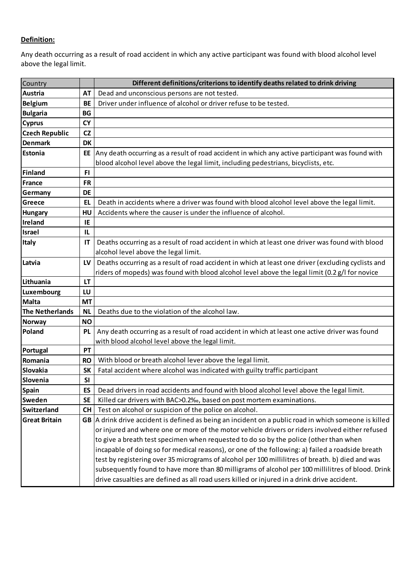## **Definition:**

Any death occurring as a result of road accident in which any active participant was found with blood alcohol level above the legal limit.

| Country                |           | Different definitions/criterions to identify deaths related to drink driving                       |
|------------------------|-----------|----------------------------------------------------------------------------------------------------|
| Austria                | <b>AT</b> | Dead and unconscious persons are not tested.                                                       |
| <b>Belgium</b>         | <b>BE</b> | Driver under influence of alcohol or driver refuse to be tested.                                   |
| <b>Bulgaria</b>        | <b>BG</b> |                                                                                                    |
| <b>Cyprus</b>          | <b>CY</b> |                                                                                                    |
| <b>Czech Republic</b>  | CZ        |                                                                                                    |
| <b>Denmark</b>         | <b>DK</b> |                                                                                                    |
| Estonia                | EE        | Any death occurring as a result of road accident in which any active participant was found with    |
|                        |           | blood alcohol level above the legal limit, including pedestrians, bicyclists, etc.                 |
| <b>Finland</b>         | FI        |                                                                                                    |
| France                 | <b>FR</b> |                                                                                                    |
| Germany                | <b>DE</b> |                                                                                                    |
| Greece                 | EL        | Death in accidents where a driver was found with blood alcohol level above the legal limit.        |
| <b>Hungary</b>         | HU        | Accidents where the causer is under the influence of alcohol.                                      |
| Ireland                | ΙE        |                                                                                                    |
| <b>Israel</b>          | IL        |                                                                                                    |
| <b>Italy</b>           | ΙT        | Deaths occurring as a result of road accident in which at least one driver was found with blood    |
|                        |           | alcohol level above the legal limit.                                                               |
| Latvia                 | LV        | Deaths occurring as a result of road accident in which at least one driver (excluding cyclists and |
|                        |           | riders of mopeds) was found with blood alcohol level above the legal limit (0.2 g/l for novice     |
| Lithuania              | LT        |                                                                                                    |
| Luxembourg             | LU        |                                                                                                    |
| <b>Malta</b>           | <b>MT</b> |                                                                                                    |
| <b>The Netherlands</b> | <b>NL</b> | Deaths due to the violation of the alcohol law.                                                    |
| <b>Norway</b>          | <b>NO</b> |                                                                                                    |
| Poland                 | <b>PL</b> | Any death occurring as a result of road accident in which at least one active driver was found     |
|                        |           | with blood alcohol level above the legal limit.                                                    |
| Portugal               | PT        |                                                                                                    |
| Romania                | <b>RO</b> | With blood or breath alcohol lever above the legal limit.                                          |
| Slovakia               | <b>SK</b> | Fatal accident where alcohol was indicated with guilty traffic participant                         |
| Slovenia               | <b>SI</b> |                                                                                                    |
| Spain                  | ES        | Dead drivers in road accidents and found with blood alcohol level above the legal limit.           |
| Sweden                 | <b>SE</b> | Killed car drivers with BAC>0.2‰, based on post mortem examinations.                               |
| <b>Switzerland</b>     | <b>CH</b> | Test on alcohol or suspicion of the police on alcohol.                                             |
| <b>Great Britain</b>   | GB        | A drink drive accident is defined as being an incident on a public road in which someone is killed |
|                        |           | or injured and where one or more of the motor vehicle drivers or riders involved either refused    |
|                        |           | to give a breath test specimen when requested to do so by the police (other than when              |
|                        |           | incapable of doing so for medical reasons), or one of the following: a) failed a roadside breath   |
|                        |           | test by registering over 35 micrograms of alcohol per 100 millilitres of breath. b) died and was   |
|                        |           | subsequently found to have more than 80 milligrams of alcohol per 100 millilitres of blood. Drink  |
|                        |           | drive casualties are defined as all road users killed or injured in a drink drive accident.        |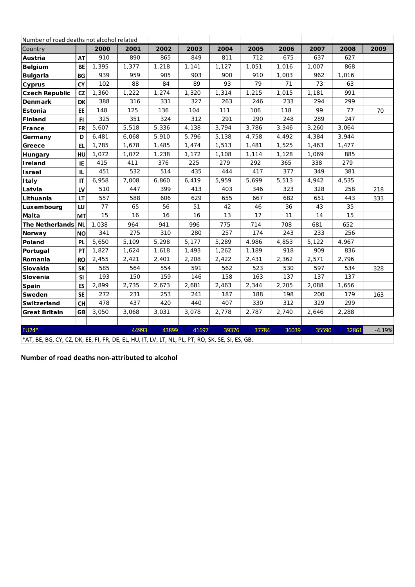| Number of road deaths not alcohol related                                                        |           |       |       |       |       |       |       |       |       |       |          |
|--------------------------------------------------------------------------------------------------|-----------|-------|-------|-------|-------|-------|-------|-------|-------|-------|----------|
| Country                                                                                          |           | 2000  | 2001  | 2002  | 2003  | 2004  | 2005  | 2006  | 2007  | 2008  | 2009     |
| Austria                                                                                          | <b>AT</b> | 910   | 890   | 865   | 849   | 811   | 712   | 675   | 637   | 627   |          |
| <b>Belgium</b>                                                                                   | BE        | 1,395 | 1,377 | 1,218 | 1,141 | 1,127 | 1,051 | 1,016 | 1,007 | 868   |          |
| <b>Bulgaria</b>                                                                                  | BG        | 939   | 959   | 905   | 903   | 900   | 910   | 1,003 | 962   | 1,016 |          |
| Cyprus                                                                                           | <b>CY</b> | 102   | 88    | 84    | 89    | 93    | 79    | 71    | 73    | 63    |          |
| <b>Czech Republic</b>                                                                            | <b>CZ</b> | 1,360 | 1,222 | 1,274 | 1,320 | 1,314 | 1,215 | 1,015 | 1,181 | 991   |          |
| <b>Denmark</b>                                                                                   | <b>DK</b> | 388   | 316   | 331   | 327   | 263   | 246   | 233   | 294   | 299   |          |
| Estonia                                                                                          | EE        | 148   | 125   | 136   | 104   | 111   | 106   | 118   | 99    | 77    | 70       |
| Finland                                                                                          | FI.       | 325   | 351   | 324   | 312   | 291   | 290   | 248   | 289   | 247   |          |
| France                                                                                           | <b>FR</b> | 5,607 | 5,518 | 5,336 | 4,138 | 3,794 | 3,786 | 3,346 | 3,260 | 3,064 |          |
| Germany                                                                                          | D         | 6,481 | 6,068 | 5,910 | 5,796 | 5,138 | 4,758 | 4,492 | 4,384 | 3,944 |          |
| Greece                                                                                           | <b>EL</b> | 1,785 | 1,678 | 1,485 | 1,474 | 1,513 | 1,481 | 1,525 | 1,463 | 1,477 |          |
| Hungary                                                                                          | HU        | 1,072 | 1,072 | 1,238 | 1,172 | 1,108 | 1,114 | 1,128 | 1,069 | 885   |          |
| Ireland                                                                                          | IE        | 415   | 411   | 376   | 225   | 279   | 292   | 365   | 338   | 279   |          |
| Israel                                                                                           | IL.       | 451   | 532   | 514   | 435   | 444   | 417   | 377   | 349   | 381   |          |
| Italy                                                                                            | IT        | 6,958 | 7,008 | 6,860 | 6,419 | 5,959 | 5,699 | 5,513 | 4,942 | 4,535 |          |
| Latvia                                                                                           | LV        | 510   | 447   | 399   | 413   | 403   | 346   | 323   | 328   | 258   | 218      |
| Lithuania                                                                                        | LT        | 557   | 588   | 606   | 629   | 655   | 667   | 682   | 651   | 443   | 333      |
| Luxembourg                                                                                       | LU        | 77    | 65    | 56    | 51    | 42    | 46    | 36    | 43    | 35    |          |
| Malta                                                                                            | <b>MT</b> | 15    | 16    | 16    | 16    | 13    | 17    | 11    | 14    | 15    |          |
| <b>The Netherlands</b>                                                                           | <b>NL</b> | 1,038 | 964   | 941   | 996   | 775   | 714   | 708   | 681   | 652   |          |
| Norway                                                                                           | <b>NO</b> | 341   | 275   | 310   | 280   | 257   | 174   | 243   | 233   | 256   |          |
| Poland                                                                                           | <b>PL</b> | 5,650 | 5,109 | 5,298 | 5,177 | 5,289 | 4,986 | 4,853 | 5,122 | 4,967 |          |
| Portugal                                                                                         | PT        | 1,827 | 1,624 | 1,618 | 1,493 | 1,262 | 1,189 | 918   | 909   | 836   |          |
| Romania                                                                                          | <b>RO</b> | 2,455 | 2,421 | 2,401 | 2,208 | 2,422 | 2,431 | 2,362 | 2,571 | 2,796 |          |
| Slovakia                                                                                         | <b>SK</b> | 585   | 564   | 554   | 591   | 562   | 523   | 530   | 597   | 534   | 328      |
| Slovenia                                                                                         | <b>SI</b> | 193   | 150   | 159   | 146   | 158   | 163   | 137   | 137   | 137   |          |
| Spain                                                                                            | ES        | 2,899 | 2,735 | 2,673 | 2,681 | 2,463 | 2,344 | 2,205 | 2,088 | 1,656 |          |
| Sweden                                                                                           | <b>SE</b> | 272   | 231   | 253   | 241   | 187   | 188   | 198   | 200   | 179   | 163      |
| Switzerland                                                                                      | <b>CH</b> | 478   | 437   | 420   | 440   | 407   | 330   | 312   | 329   | 299   |          |
| <b>Great Britain</b>                                                                             | <b>GB</b> | 3,050 | 3,068 | 3,031 | 3,078 | 2,778 | 2,787 | 2,740 | 2,646 | 2,288 |          |
|                                                                                                  |           |       |       |       |       |       |       |       |       |       |          |
| <b>EU24*</b>                                                                                     |           |       | 44993 | 43899 | 41697 | 39376 | 37784 | 36039 | 35590 | 32861 | $-4.19%$ |
| *AT, BE, BG, CY, CZ, DK, EE, FI, FR, DE, EL, HU, IT, LV, LT, NL, PL, PT, RO, SK, SE, SI, ES, GB. |           |       |       |       |       |       |       |       |       |       |          |

\*AT, BE, BG, CY, CZ, DK, EE, FI, FR, DE, EL, HU, IT, LV, LT, NL, PL, PT, RO, SK, SE, SI, ES, GB.

**Number of road deaths non‐attributed to alcohol**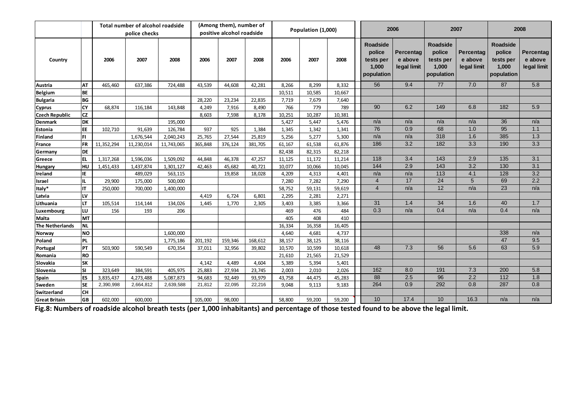|                        |           |            | Total number of alcohol roadside |            |         | (Among them), number of   |         |        | Population (1,000) |        |                                                               | 2006                                       |                                                        | 2007                                |                                                               | 2008                                       |
|------------------------|-----------|------------|----------------------------------|------------|---------|---------------------------|---------|--------|--------------------|--------|---------------------------------------------------------------|--------------------------------------------|--------------------------------------------------------|-------------------------------------|---------------------------------------------------------------|--------------------------------------------|
|                        |           |            | police checks                    |            |         | positive alcohol roadside |         |        |                    |        |                                                               |                                            |                                                        |                                     |                                                               |                                            |
| Country                |           | 2006       | 2007                             | 2008       | 2006    | 2007                      | 2008    | 2006   | 2007               | 2008   | <b>Roadside</b><br>police<br>tests per<br>1,000<br>population | <b>Percentag</b><br>e above<br>legal limit | Roadside<br>police<br>tests per<br>1,000<br>population | Percentag<br>e above<br>legal limit | <b>Roadside</b><br>police<br>tests per<br>1,000<br>population | <b>Percentag</b><br>e above<br>legal limit |
| Austria                | lат       | 465,460    | 637,386                          | 724,488    | 43,539  | 44,608                    | 42,281  | 8,266  | 8,299              | 8,332  | 56                                                            | 9.4                                        | 77                                                     | 7.0                                 | 87                                                            | 5.8                                        |
| <b>Belgium</b>         | lbe.      |            |                                  |            |         |                           |         | 10,511 | 10,585             | 10,667 |                                                               |                                            |                                                        |                                     |                                                               |                                            |
| <b>Bulgaria</b>        | l BG      |            |                                  |            | 28,220  | 23,234                    | 22,835  | 7,719  | 7,679              | 7,640  |                                                               |                                            |                                                        |                                     |                                                               |                                            |
| <b>Cyprus</b>          | lcy       | 68,874     | 116,184                          | 143,848    | 4,249   | 7,916                     | 8,490   | 766    | 779                | 789    | 90                                                            | 6.2                                        | 149                                                    | 6.8                                 | 182                                                           | 5.9                                        |
| <b>Czech Republic</b>  | lcz       |            |                                  |            | 8,603   | 7,598                     | 8,178   | 10,251 | 10,287             | 10,381 |                                                               |                                            |                                                        |                                     |                                                               |                                            |
| <b>Denmark</b>         | ldк       |            |                                  | 195,000    |         |                           |         | 5,427  | 5,447              | 5,476  | n/a                                                           | n/a                                        | n/a                                                    | n/a                                 | 36                                                            | n/a                                        |
| Estonia                | <b>EE</b> | 102,710    | 91,639                           | 126,784    | 937     | 925                       | 1,384   | 1,345  | 1,342              | 1,341  | 76                                                            | 0.9                                        | 68                                                     | 1.0                                 | 95                                                            | 1.1                                        |
| Finland                | FI        |            | 1,676,544                        | 2,040,243  | 25,765  | 27,544                    | 25,819  | 5,256  | 5,277              | 5,300  | n/a                                                           | n/a                                        | 318                                                    | 1.6                                 | 385                                                           | 1.3                                        |
| France                 | <b>FR</b> | 11,352,294 | 11,230,014                       | 11,743,065 | 365,848 | 376,124                   | 381,705 | 61,167 | 61,538             | 61,876 | 186                                                           | 3.2                                        | 182                                                    | 3.3                                 | 190                                                           | 3.3                                        |
| Germany                | lde.      |            |                                  |            |         |                           |         | 82,438 | 82,315             | 82,218 |                                                               |                                            |                                                        |                                     |                                                               |                                            |
| Greece                 | lel       | 1,317,268  | 1,596,036                        | 1,509,092  | 44,848  | 46,378                    | 47,257  | 11,125 | 11,172             | 11,214 | 118                                                           | 3.4                                        | 143                                                    | 2.9                                 | 135                                                           | 3.1                                        |
| Hungary                | lнu       | 1,451,433  | 1,437,874                        | 1,301,127  | 42,463  | 45,682                    | 40,721  | 10,077 | 10,066             | 10,045 | 144                                                           | 2.9                                        | 143                                                    | 3.2                                 | 130                                                           | 3.1                                        |
| Ireland                | IE        |            | 489,029                          | 563,115    |         | 19,858                    | 18,028  | 4,209  | 4,313              | 4,401  | n/a                                                           | n/a                                        | 113                                                    | 4.1                                 | 128                                                           | 3.2                                        |
| Israel                 | lil       | 29,900     | 175,000                          | 500,000    |         |                           |         | 7,280  | 7,282              | 7,290  | $\overline{4}$                                                | 17                                         | 24                                                     | 5                                   | 69                                                            | 2.2                                        |
| Italy*                 | Iıт       | 250,000    | 700,000                          | 1,400,000  |         |                           |         | 58,752 | 59,131             | 59,619 | $\overline{\mathbf{4}}$                                       | n/a                                        | 12                                                     | n/a                                 | 23                                                            | n/a                                        |
| Latvia                 | lıv       |            |                                  |            | 4,419   | 6,724                     | 6,801   | 2,295  | 2,281              | 2,271  |                                                               |                                            |                                                        |                                     |                                                               |                                            |
| Lithuania              | ILT       | 105,514    | 114,144                          | 134,026    | 1,445   | 1,770                     | 2,305   | 3,403  | 3,385              | 3,366  | 31                                                            | 1.4                                        | 34                                                     | 1.6                                 | 40                                                            | 1.7                                        |
| Luxembourg             | lιυ       | 156        | 193                              | 206        |         |                           |         | 469    | 476                | 484    | 0.3                                                           | n/a                                        | 0.4                                                    | n/a                                 | 0.4                                                           | n/a                                        |
| Malta                  | Імт       |            |                                  |            |         |                           |         | 405    | 408                | 410    |                                                               |                                            |                                                        |                                     |                                                               |                                            |
| <b>The Netherlands</b> | <b>NL</b> |            |                                  |            |         |                           |         | 16,334 | 16,358             | 16,405 |                                                               |                                            |                                                        |                                     |                                                               |                                            |
| Norway                 | NO        |            |                                  | 1,600,000  |         |                           |         | 4,640  | 4,681              | 4,737  |                                                               |                                            |                                                        |                                     | 338                                                           | n/a                                        |
| Poland                 | PL        |            |                                  | 1,775,186  | 201,192 | 159,346                   | 168,612 | 38,157 | 38,125             | 38,116 |                                                               |                                            |                                                        |                                     | 47                                                            | 9.5                                        |
| Portugal               | <b>PT</b> | 503,900    | 590,549                          | 670,354    | 37,011  | 32,956                    | 39,802  | 10,570 | 10,599             | 10,618 | 48                                                            | 7.3                                        | 56                                                     | 5.6                                 | 63                                                            | 5.9                                        |
| Romania                | <b>RO</b> |            |                                  |            |         |                           |         | 21,610 | 21,565             | 21,529 |                                                               |                                            |                                                        |                                     |                                                               |                                            |
| Slovakia               | lsk       |            |                                  |            | 4.142   | 4.489                     | 4,604   | 5,389  | 5,394              | 5,401  |                                                               |                                            |                                                        |                                     |                                                               |                                            |
| Slovenia               | lsı       | 323,649    | 384,591                          | 405,975    | 25,883  | 27,934                    | 23,745  | 2,003  | 2,010              | 2,026  | 162                                                           | 8.0                                        | 191                                                    | 7.3                                 | 200                                                           | 5.8                                        |
| Spain                  | les       | 3,835,437  | 4,273,488                        | 5,087,873  | 94,683  | 92,449                    | 93,979  | 43,758 | 44,475             | 45,283 | 88                                                            | 2.5                                        | 96                                                     | 2.2                                 | 112                                                           | 1.8                                        |
| Sweden                 | <b>SE</b> | 2,390,998  | 2,664,812                        | 2,639,588  | 21,812  | 22,095                    | 22,216  | 9,048  | 9,113              | 9,183  | 264                                                           | 0.9                                        | 292                                                    | 0.8                                 | 287                                                           | 0.8                                        |
| Switzerland            | lсн       |            |                                  |            |         |                           |         |        |                    |        |                                                               |                                            |                                                        |                                     |                                                               |                                            |
| <b>Great Britain</b>   | lgB       | 602,000    | 600,000                          |            | 105,000 | 98,000                    |         | 58,800 | 59,200             | 59,200 | 10                                                            | 17.4                                       | 10                                                     | 16.3                                | n/a                                                           | n/a                                        |

Fig.8: Numbers of roadside alcohol breath tests (per 1,000 inhabitants) and percentage of those tested found to be above the legal limit.